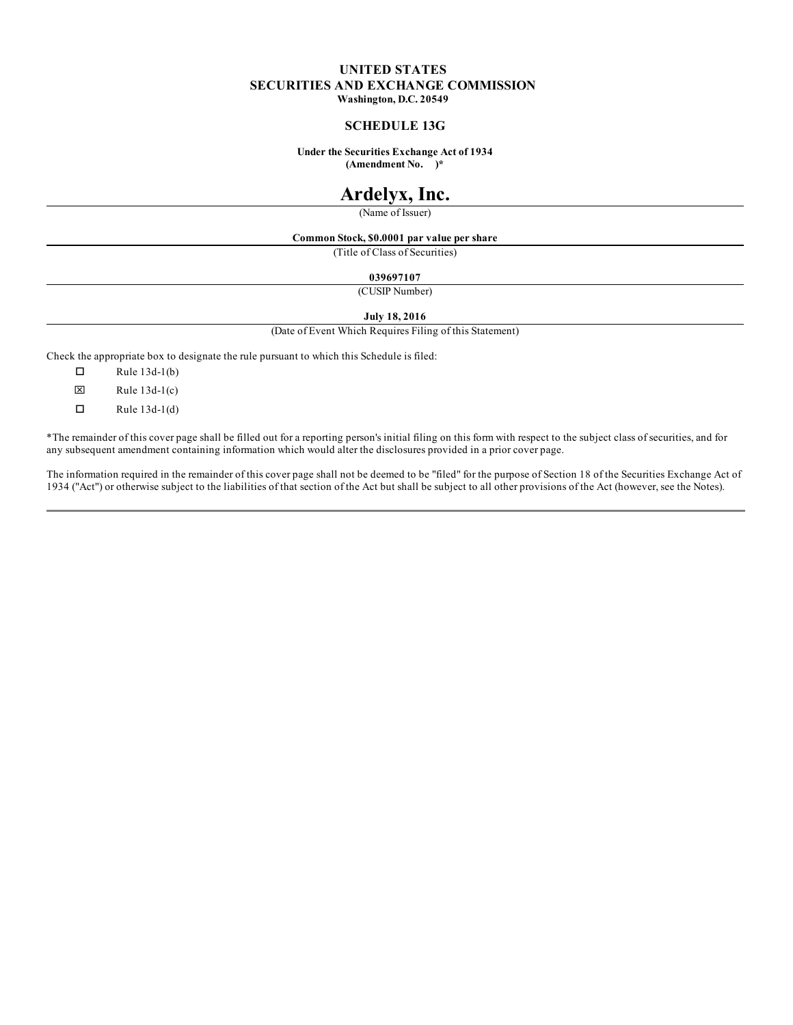# **UNITED STATES SECURITIES AND EXCHANGE COMMISSION Washington, D.C. 20549**

### **SCHEDULE 13G**

**Under the Securities Exchange Act of 1934 (Amendment No. )\***

# **Ardelyx, Inc.**

(Name of Issuer)

#### **Common Stock, \$0.0001 par value per share**

(Title of Class of Securities)

**039697107**

(CUSIP Number)

#### **July 18, 2016**

(Date of Event Which Requires Filing of this Statement)

Check the appropriate box to designate the rule pursuant to which this Schedule is filed:

 $\Box$  Rule 13d-1(b)

 $\boxtimes$  Rule 13d-1(c)

 $\Box$  Rule 13d-1(d)

\*The remainder of this cover page shall be filled out for a reporting person's initial filing on this form with respect to the subject class of securities, and for any subsequent amendment containing information which would alter the disclosures provided in a prior cover page.

The information required in the remainder of this cover page shall not be deemed to be "filed" for the purpose of Section 18 of the Securities Exchange Act of 1934 ("Act") or otherwise subject to the liabilities of that section of the Act but shall be subject to all other provisions of the Act (however, see the Notes).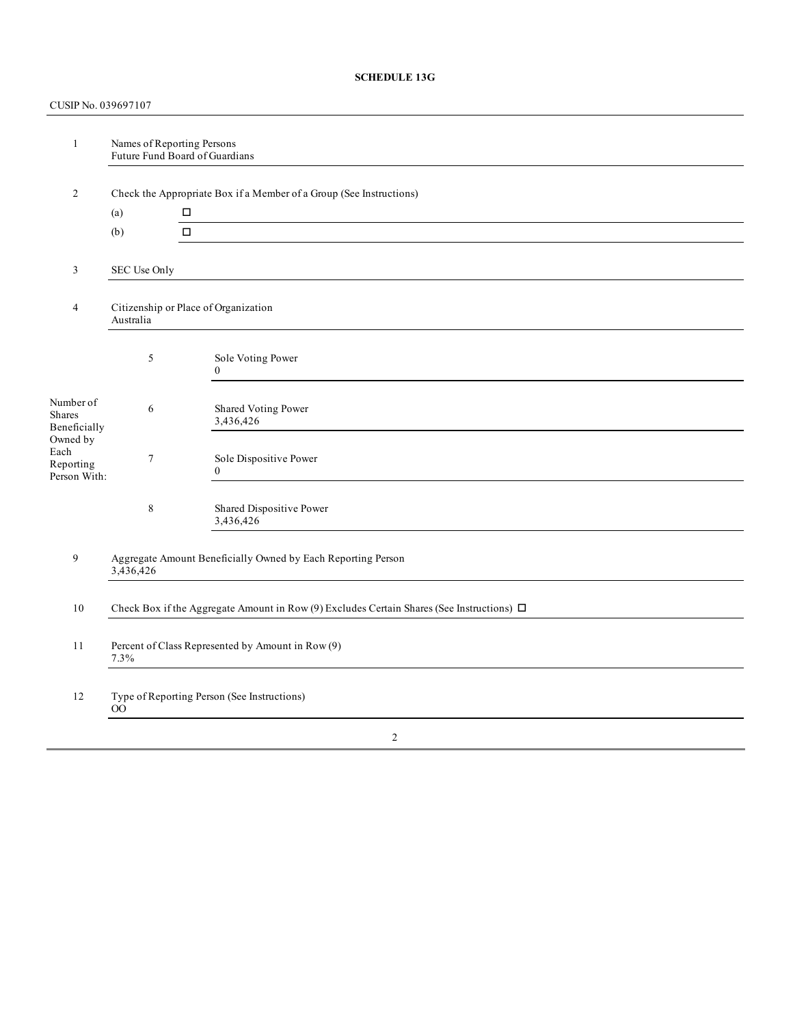# **SCHEDULE 13G**

# CUSIP No. 039697107

| $\mathbf{1}$                                                                         | Names of Reporting Persons<br>Future Fund Board of Guardians                                   |                                          |  |  |  |
|--------------------------------------------------------------------------------------|------------------------------------------------------------------------------------------------|------------------------------------------|--|--|--|
| 2                                                                                    | Check the Appropriate Box if a Member of a Group (See Instructions)                            |                                          |  |  |  |
|                                                                                      | (a)                                                                                            |                                          |  |  |  |
|                                                                                      | (b)                                                                                            | $\Box$                                   |  |  |  |
| 3                                                                                    | SEC Use Only                                                                                   |                                          |  |  |  |
| $\overline{4}$                                                                       | Citizenship or Place of Organization<br>Australia                                              |                                          |  |  |  |
|                                                                                      | 5                                                                                              | Sole Voting Power<br>$\overline{0}$      |  |  |  |
| Number of<br>Shares<br>Beneficially<br>Owned by<br>Each<br>Reporting<br>Person With: | 6                                                                                              | Shared Voting Power<br>3,436,426         |  |  |  |
|                                                                                      | $\tau$                                                                                         | Sole Dispositive Power<br>$\overline{0}$ |  |  |  |
|                                                                                      | $\,$ 8 $\,$                                                                                    | Shared Dispositive Power<br>3,436,426    |  |  |  |
| 9                                                                                    | Aggregate Amount Beneficially Owned by Each Reporting Person<br>3,436,426                      |                                          |  |  |  |
| 10                                                                                   | Check Box if the Aggregate Amount in Row (9) Excludes Certain Shares (See Instructions) $\Box$ |                                          |  |  |  |
| 11                                                                                   | Percent of Class Represented by Amount in Row (9)<br>7.3%                                      |                                          |  |  |  |
| 12                                                                                   | Type of Reporting Person (See Instructions)<br>$\rm{OO}$                                       |                                          |  |  |  |
| $\sqrt{2}$                                                                           |                                                                                                |                                          |  |  |  |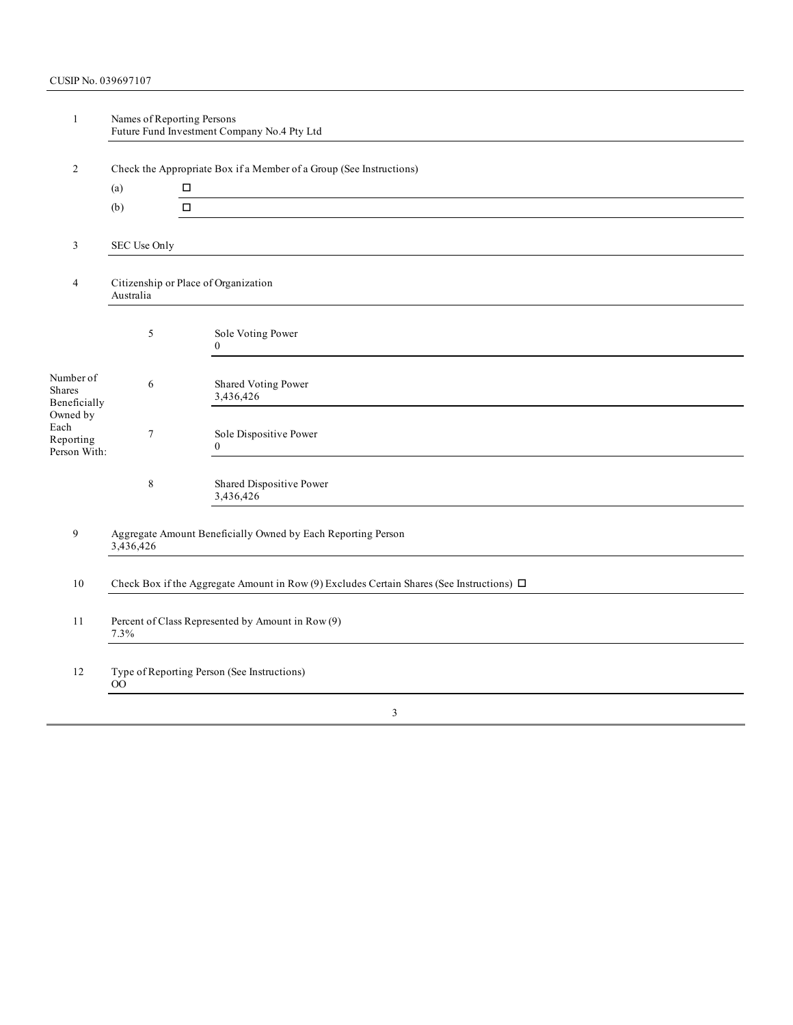| $\mathbf{1}$                                                                         | Names of Reporting Persons<br>Future Fund Investment Company No.4 Pty Ltd                      |                                                                                                                                                                  |  |  |  |
|--------------------------------------------------------------------------------------|------------------------------------------------------------------------------------------------|------------------------------------------------------------------------------------------------------------------------------------------------------------------|--|--|--|
| 2                                                                                    |                                                                                                |                                                                                                                                                                  |  |  |  |
|                                                                                      | Check the Appropriate Box if a Member of a Group (See Instructions)<br>$\Box$<br>(a)           |                                                                                                                                                                  |  |  |  |
|                                                                                      | (b)                                                                                            | $\Box$                                                                                                                                                           |  |  |  |
|                                                                                      |                                                                                                |                                                                                                                                                                  |  |  |  |
| 3                                                                                    | SEC Use Only                                                                                   |                                                                                                                                                                  |  |  |  |
| Citizenship or Place of Organization<br>4<br>Australia                               |                                                                                                |                                                                                                                                                                  |  |  |  |
|                                                                                      | 5                                                                                              | Sole Voting Power<br>$\Omega$                                                                                                                                    |  |  |  |
| Number of<br>Shares<br>Beneficially<br>Owned by<br>Each<br>Reporting<br>Person With: | 6                                                                                              | Shared Voting Power<br>3,436,426                                                                                                                                 |  |  |  |
|                                                                                      | $\tau$                                                                                         | Sole Dispositive Power<br>$\overline{0}$<br><u> 1980 - Jan Samuel Barbara, margaret e populari e populari e populari e populari e populari e populari e popu</u> |  |  |  |
|                                                                                      | 8                                                                                              | Shared Dispositive Power<br>3,436,426                                                                                                                            |  |  |  |
| 9                                                                                    | Aggregate Amount Beneficially Owned by Each Reporting Person<br>3,436,426                      |                                                                                                                                                                  |  |  |  |
| 10                                                                                   | Check Box if the Aggregate Amount in Row (9) Excludes Certain Shares (See Instructions) $\Box$ |                                                                                                                                                                  |  |  |  |
| 11                                                                                   | Percent of Class Represented by Amount in Row (9)<br>7.3%                                      |                                                                                                                                                                  |  |  |  |
| 12                                                                                   | Type of Reporting Person (See Instructions)<br>00                                              |                                                                                                                                                                  |  |  |  |
|                                                                                      |                                                                                                | $\mathbf{R}$                                                                                                                                                     |  |  |  |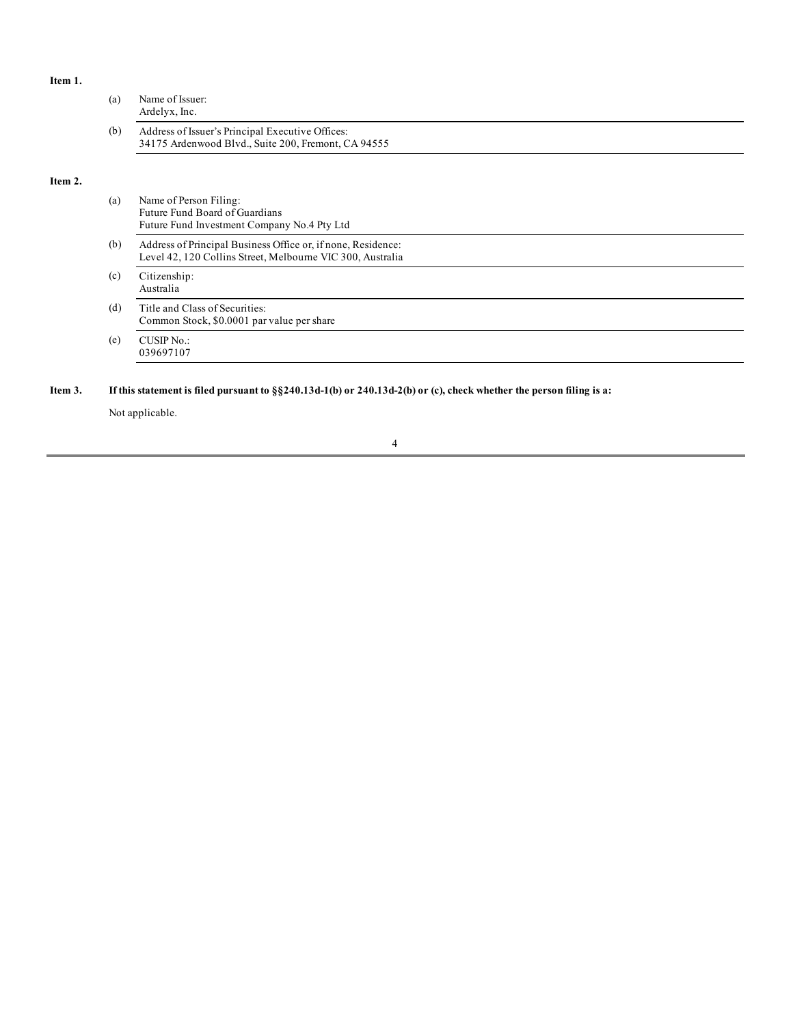# **Item 1.**

**Item 2.**

|         | (a) | Name of Issuer:<br>Ardelyx, Inc.                                                                                                                 |  |
|---------|-----|--------------------------------------------------------------------------------------------------------------------------------------------------|--|
|         | (b) | Address of Issuer's Principal Executive Offices:<br>34175 Ardenwood Blvd., Suite 200, Fremont, CA 94555                                          |  |
| Item 2. |     |                                                                                                                                                  |  |
|         | (a) | Name of Person Filing:<br>Future Fund Board of Guardians<br>Future Fund Investment Company No.4 Pty Ltd                                          |  |
|         | (b) | Address of Principal Business Office or, if none, Residence:<br>Level 42, 120 Collins Street, Melbourne VIC 300, Australia                       |  |
|         | (c) | Citizenship:<br>Australia                                                                                                                        |  |
|         | (d) | Title and Class of Securities:<br>Common Stock, \$0.0001 par value per share                                                                     |  |
|         | (e) | <b>CUSIP No.:</b><br>039697107                                                                                                                   |  |
| Item 3. |     | If this statement is filed pursuant to $\S$ ( $\S$ 240.13d-1(b) or 240.13d-2(b) or (c), check whether the person filing is a:<br>Not applicable. |  |

# 4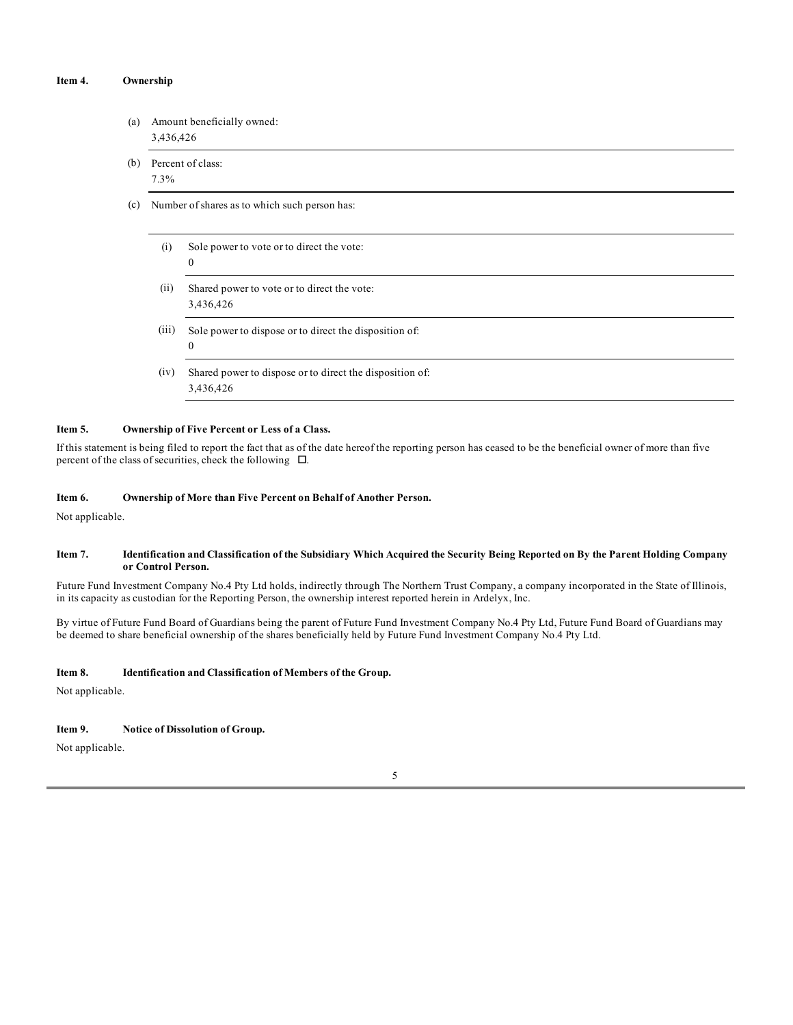#### **Item 4. Ownership**

- (a) Amount beneficially owned: 3,436,426
- (b) Percent of class: 7.3%
- (c) Number of shares as to which such person has:
	- (i) Sole power to vote or to direct the vote: 0
	- (ii) Shared power to vote or to direct the vote: 3,436,426
	- (iii) Sole power to dispose or to direct the disposition of: 0
	- (iv) Shared power to dispose or to direct the disposition of: 3,436,426

#### **Item 5. Ownership of Five Percent or Less of a Class.**

If this statement is being filed to report the fact that as of the date hereof the reporting person has ceased to be the beneficial owner of more than five percent of the class of securities, check the following  $\Box$ .

#### **Item 6. Ownership of More than Five Percent on Behalf of Another Person.**

Not applicable.

### Item 7. Identification and Classification of the Subsidiary Which Acquired the Security Being Reported on By the Parent Holding Company **or Control Person.**

Future Fund Investment Company No.4 Pty Ltd holds, indirectly through The Northern Trust Company, a company incorporated in the State of Illinois, in its capacity as custodian for the Reporting Person, the ownership interest reported herein in Ardelyx, Inc.

By virtue of Future Fund Board of Guardians being the parent of Future Fund Investment Company No.4 Pty Ltd, Future Fund Board of Guardians may be deemed to share beneficial ownership of the shares beneficially held by Future Fund Investment Company No.4 Pty Ltd.

#### **Item 8. Identification and Classification of Members of the Group.**

Not applicable.

#### **Item 9. Notice of Dissolution of Group.**

Not applicable.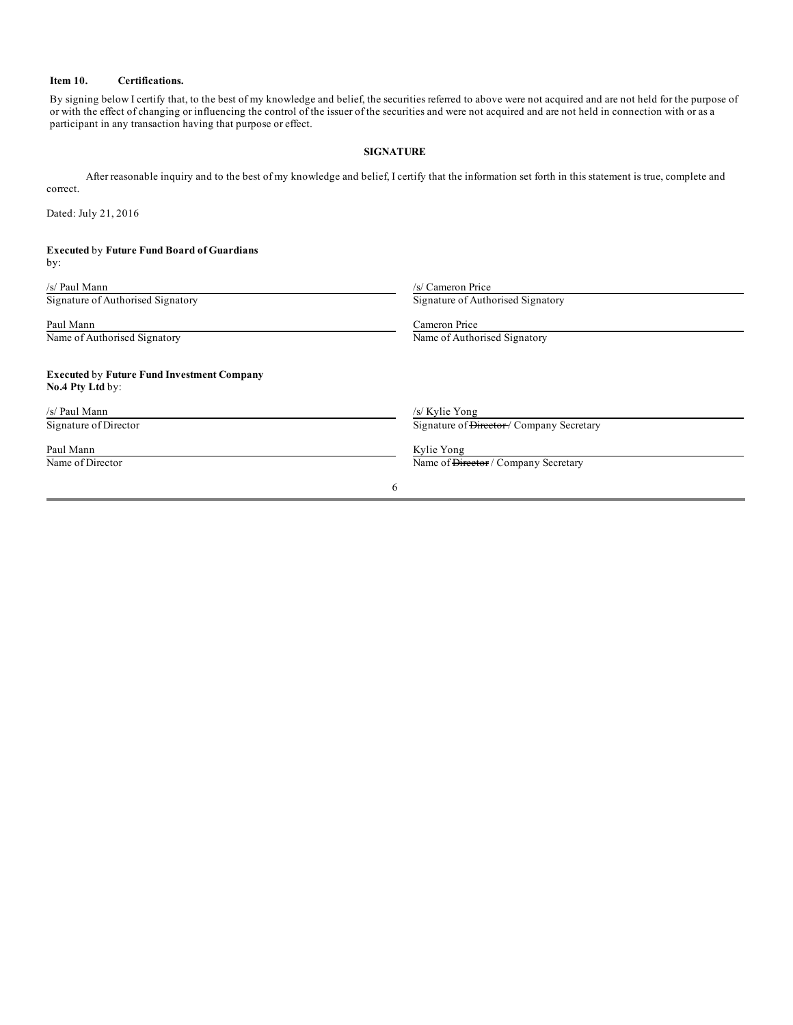# **Item 10. Certifications.**

By signing below I certify that, to the best of my knowledge and belief, the securities referred to above were not acquired and are not held for the purpose of or with the effect of changing or influencing the control of the issuer of the securities and were not acquired and are not held in connection with or as a participant in any transaction having that purpose or effect.

### **SIGNATURE**

After reasonable inquiry and to the best of my knowledge and belief, I certify that the information set forth in this statement is true, complete and correct.

Dated: July 21, 2016

## **Executed** by **Future Fund Board of Guardians** by:

| /s/ Paul Mann                                                         | /s/ Cameron Price                                    |  |
|-----------------------------------------------------------------------|------------------------------------------------------|--|
| Signature of Authorised Signatory                                     | Signature of Authorised Signatory                    |  |
| Paul Mann                                                             | Cameron Price                                        |  |
| Name of Authorised Signatory                                          | Name of Authorised Signatory                         |  |
| <b>Executed by Future Fund Investment Company</b><br>No.4 Pty Ltd by: |                                                      |  |
| /s/ Paul Mann                                                         | /s/ Kylie Yong                                       |  |
| Signature of Director                                                 | Signature of <del>Director</del> / Company Secretary |  |
| Paul Mann                                                             | Kylie Yong                                           |  |
| Name of Director                                                      | Name of <del>Director</del> / Company Secretary      |  |
|                                                                       | 6                                                    |  |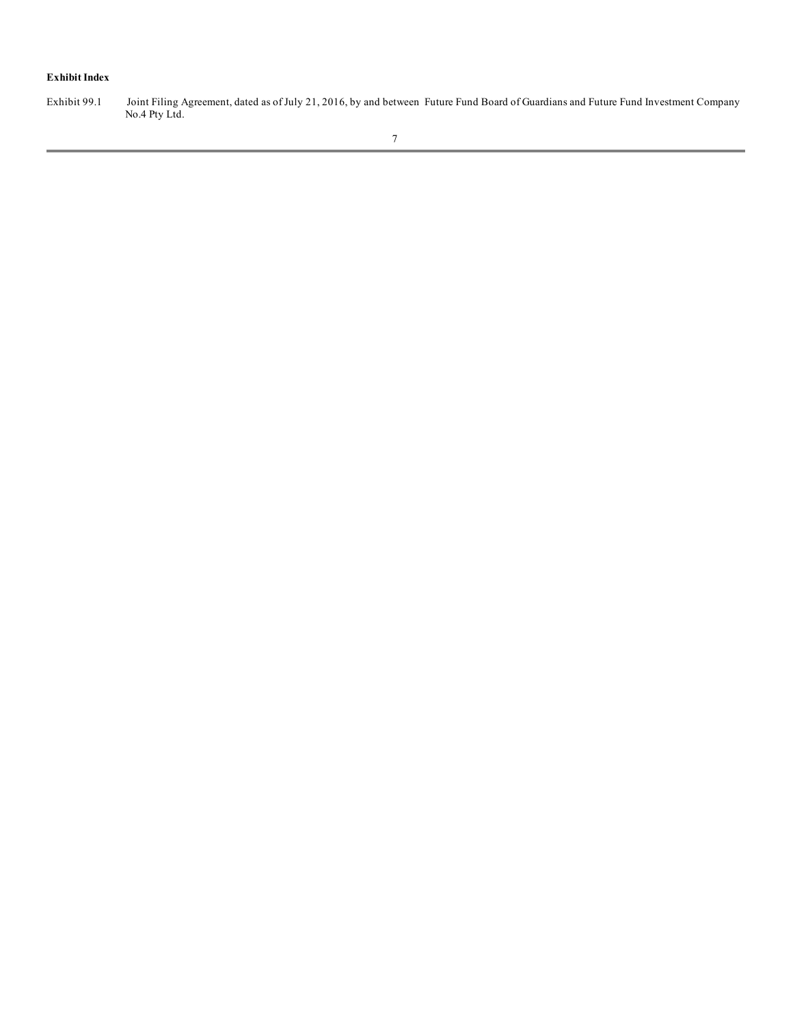# **Exhibit Index**

Exhibit 99.1 Joint Filing Agreement, dated as of July 21, 2016, by and between Future Fund Board of Guardians and Future Fund Investment Company No.4 Pty Ltd.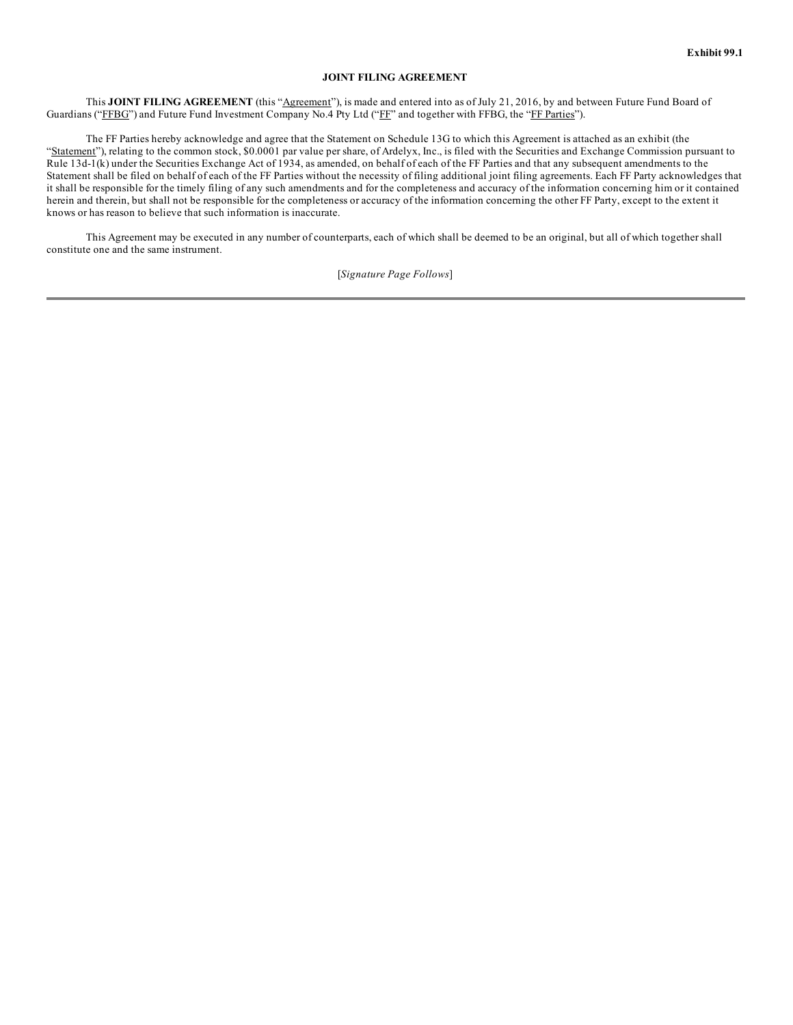### **JOINT FILING AGREEMENT**

This **JOINT FILING AGREEMENT** (this "Agreement"), is made and entered into as of July 21, 2016, by and between Future Fund Board of Guardians ("FFBG") and Future Fund Investment Company No.4 Pty Ltd ("FF" and together with FFBG, the "FF Parties").

The FF Parties hereby acknowledge and agree that the Statement on Schedule 13G to which this Agreement is attached as an exhibit (the "Statement"), relating to the common stock, \$0.0001 par value per share, of Ardelyx, Inc., is filed with the Securities and Exchange Commission pursuant to Rule 13d-1(k) under the Securities Exchange Act of 1934, as amended, on behalf of each of the FF Parties and that any subsequent amendments to the Statement shall be filed on behalf of each of the FF Parties without the necessity of filing additional joint filing agreements. Each FF Party acknowledges that it shall be responsible for the timely filing of any such amendments and for the completeness and accuracy of the information concerning him or it contained herein and therein, but shall not be responsible for the completeness or accuracy of the information concerning the other FF Party, except to the extent it knows or has reason to believe that such information is inaccurate.

This Agreement may be executed in any number of counterparts, each of which shall be deemed to be an original, but all of which together shall constitute one and the same instrument.

[*Signature Page Follows*]